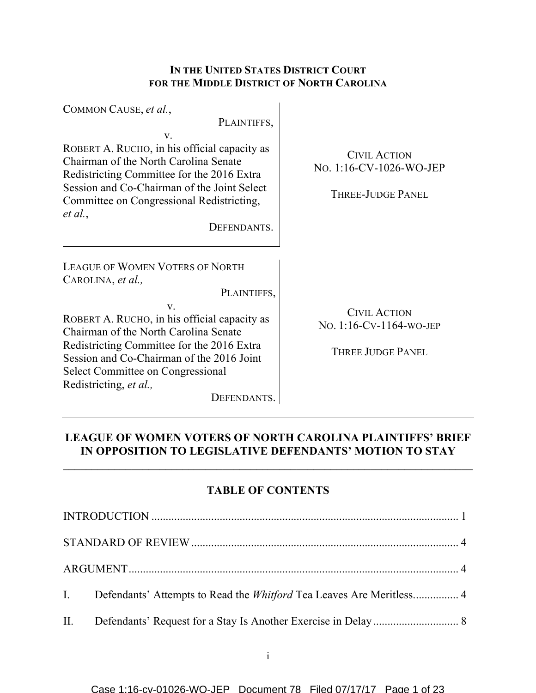# **IN THE UNITED STATES DISTRICT COURT FOR THE MIDDLE DISTRICT OF NORTH CAROLINA**

| COMMON CAUSE, et al.,                                                                                                                                                                                                                                                                                                                                              |                                                                            |
|--------------------------------------------------------------------------------------------------------------------------------------------------------------------------------------------------------------------------------------------------------------------------------------------------------------------------------------------------------------------|----------------------------------------------------------------------------|
| PLAINTIFFS,<br>V.<br>ROBERT A. RUCHO, in his official capacity as<br>Chairman of the North Carolina Senate<br>Redistricting Committee for the 2016 Extra<br>Session and Co-Chairman of the Joint Select<br>Committee on Congressional Redistricting,<br>et al.,<br>DEFENDANTS.                                                                                     | <b>CIVIL ACTION</b><br>No. 1:16-CV-1026-WO-JEP<br>THREE-JUDGE PANEL        |
| <b>LEAGUE OF WOMEN VOTERS OF NORTH</b><br>CAROLINA, et al.,<br>PLAINTIFFS,<br>$V_{\cdot}$<br>ROBERT A. RUCHO, in his official capacity as<br>Chairman of the North Carolina Senate<br>Redistricting Committee for the 2016 Extra<br>Session and Co-Chairman of the 2016 Joint<br><b>Select Committee on Congressional</b><br>Redistricting, et al.,<br>DEFENDANTS. | <b>CIVIL ACTION</b><br>NO. 1:16-CV-1164-WO-JEP<br><b>THREE JUDGE PANEL</b> |

# **LEAGUE OF WOMEN VOTERS OF NORTH CAROLINA PLAINTIFFS' BRIEF IN OPPOSITION TO LEGISLATIVE DEFENDANTS' MOTION TO STAY**

# **TABLE OF CONTENTS**

| I. Defendants' Attempts to Read the <i>Whitford</i> Tea Leaves Are Meritless 4 |  |
|--------------------------------------------------------------------------------|--|
|                                                                                |  |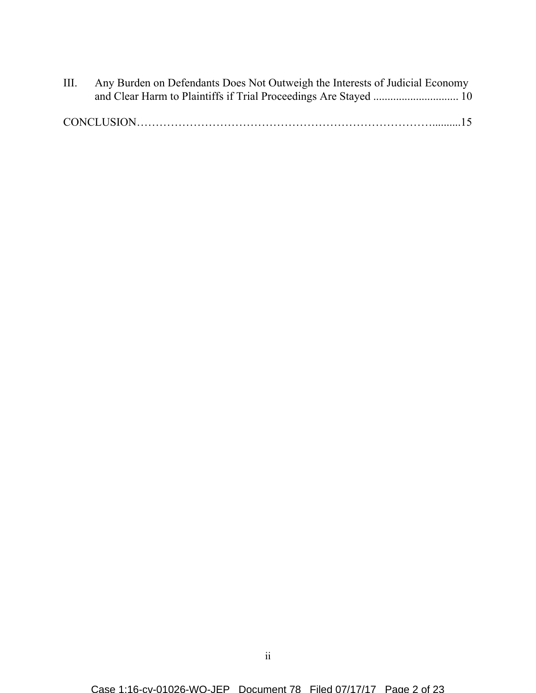| III. | Any Burden on Defendants Does Not Outweigh the Interests of Judicial Economy |  |
|------|------------------------------------------------------------------------------|--|
|      |                                                                              |  |
|      |                                                                              |  |
|      |                                                                              |  |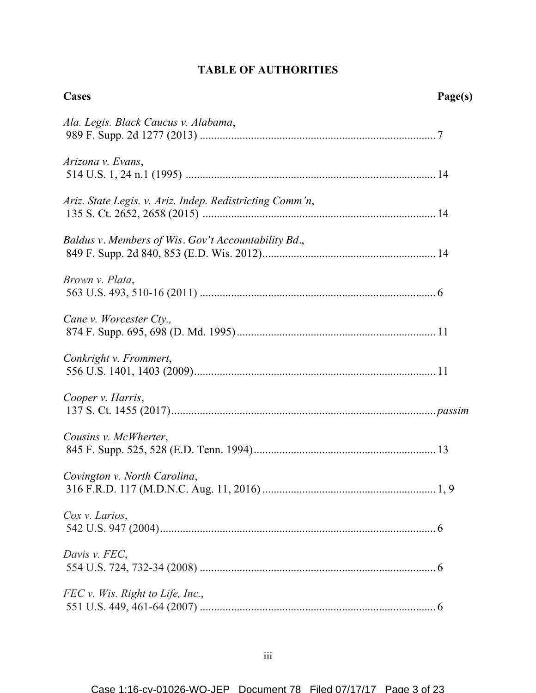# **TABLE OF AUTHORITIES**

| <b>Cases</b>                                             | Page(s) |
|----------------------------------------------------------|---------|
| Ala. Legis. Black Caucus v. Alabama,                     |         |
| Arizona v. Evans,                                        |         |
| Ariz. State Legis. v. Ariz. Indep. Redistricting Comm'n, |         |
| Baldus v. Members of Wis. Gov't Accountability Bd.,      |         |
| Brown v. Plata,                                          |         |
| Cane v. Worcester Cty.,                                  |         |
| Conkright v. Frommert,                                   |         |
| Cooper v. Harris,                                        |         |
| Cousins v. McWherter,                                    |         |
| Covington v. North Carolina,                             |         |
| Cox v. Larios,                                           |         |
| Davis v. FEC,                                            |         |
| FEC v. Wis. Right to Life, Inc.,                         |         |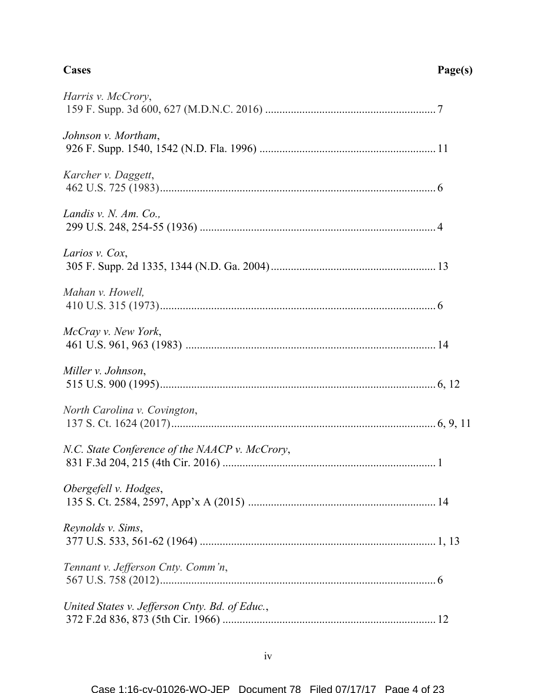| Harris v. McCrory,                             |  |
|------------------------------------------------|--|
| Johnson v. Mortham,                            |  |
| Karcher v. Daggett,                            |  |
| Landis v. N. Am. Co.,                          |  |
| Larios v. Cox,                                 |  |
| Mahan v. Howell,                               |  |
| McCray v. New York,                            |  |
| Miller v. Johnson,                             |  |
| North Carolina v. Covington,                   |  |
| N.C. State Conference of the NAACP v. McCrory, |  |
| Obergefell v. Hodges,                          |  |
| Reynolds v. Sims,                              |  |
| Tennant v. Jefferson Cnty. Comm'n,             |  |
| United States v. Jefferson Cnty. Bd. of Educ., |  |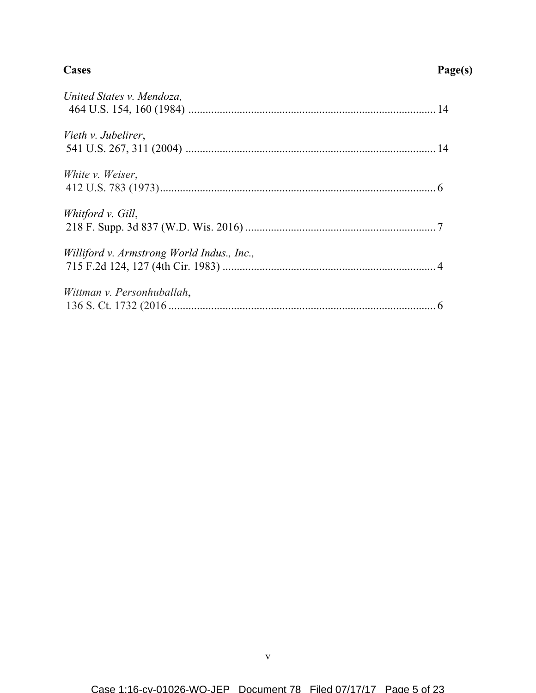### **Cases Page(s)**

| United States v. Mendoza,                  |  |
|--------------------------------------------|--|
| Vieth v. Jubelirer,                        |  |
| White <i>v.</i> Weiser,                    |  |
| Whitford v. Gill,                          |  |
| Williford v. Armstrong World Indus., Inc., |  |
| Wittman v. Personhuballah,                 |  |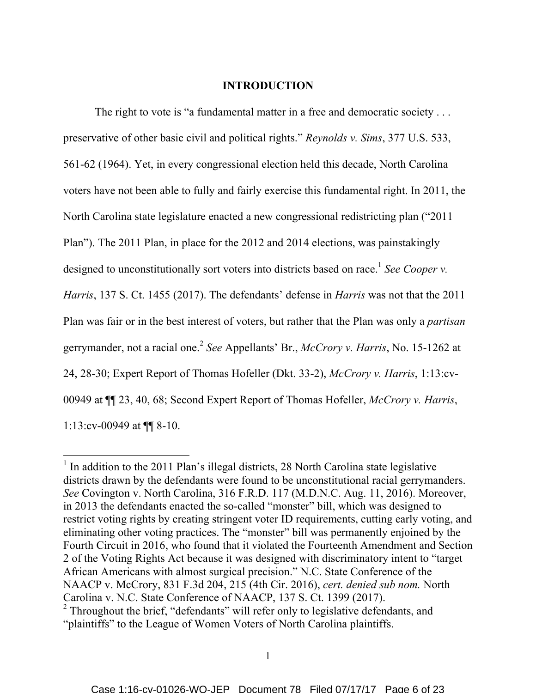#### **INTRODUCTION**

The right to vote is "a fundamental matter in a free and democratic society . . . preservative of other basic civil and political rights." *Reynolds v. Sims*, 377 U.S. 533, 561-62 (1964). Yet, in every congressional election held this decade, North Carolina voters have not been able to fully and fairly exercise this fundamental right. In 2011, the North Carolina state legislature enacted a new congressional redistricting plan ("2011 Plan"). The 2011 Plan, in place for the 2012 and 2014 elections, was painstakingly designed to unconstitutionally sort voters into districts based on race.<sup>1</sup> See Cooper v. *Harris*, 137 S. Ct. 1455 (2017). The defendants' defense in *Harris* was not that the 2011 Plan was fair or in the best interest of voters, but rather that the Plan was only a *partisan*  gerrymander, not a racial one. <sup>2</sup> *See* Appellants' Br., *McCrory v. Harris*, No. 15-1262 at 24, 28-30; Expert Report of Thomas Hofeller (Dkt. 33-2), *McCrory v. Harris*, 1:13:cv-00949 at ¶¶ 23, 40, 68; Second Expert Report of Thomas Hofeller, *McCrory v. Harris*, 1:13:cv-00949 at ¶¶ 8-10.

 $1$  In addition to the 2011 Plan's illegal districts, 28 North Carolina state legislative districts drawn by the defendants were found to be unconstitutional racial gerrymanders. *See* Covington v. North Carolina, 316 F.R.D. 117 (M.D.N.C. Aug. 11, 2016). Moreover, in 2013 the defendants enacted the so-called "monster" bill, which was designed to restrict voting rights by creating stringent voter ID requirements, cutting early voting, and eliminating other voting practices. The "monster" bill was permanently enjoined by the Fourth Circuit in 2016, who found that it violated the Fourteenth Amendment and Section 2 of the Voting Rights Act because it was designed with discriminatory intent to "target African Americans with almost surgical precision." N.C. State Conference of the NAACP v. McCrory, 831 F.3d 204, 215 (4th Cir. 2016), *cert. denied sub nom.* North  $\alpha$ <sup>2</sup> Throughout the brief, "defendants" will refer only to legislative defendants, and

<sup>&</sup>quot;plaintiffs" to the League of Women Voters of North Carolina plaintiffs.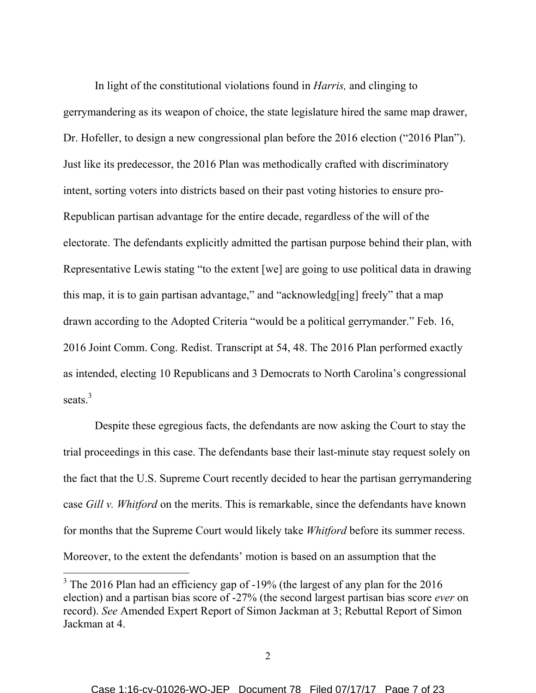In light of the constitutional violations found in *Harris,* and clinging to gerrymandering as its weapon of choice, the state legislature hired the same map drawer, Dr. Hofeller, to design a new congressional plan before the 2016 election ("2016 Plan"). Just like its predecessor, the 2016 Plan was methodically crafted with discriminatory intent, sorting voters into districts based on their past voting histories to ensure pro-Republican partisan advantage for the entire decade, regardless of the will of the electorate. The defendants explicitly admitted the partisan purpose behind their plan, with Representative Lewis stating "to the extent [we] are going to use political data in drawing this map, it is to gain partisan advantage," and "acknowledg[ing] freely" that a map drawn according to the Adopted Criteria "would be a political gerrymander." Feb. 16, 2016 Joint Comm. Cong. Redist. Transcript at 54, 48. The 2016 Plan performed exactly as intended, electing 10 Republicans and 3 Democrats to North Carolina's congressional seats.<sup>3</sup>

Despite these egregious facts, the defendants are now asking the Court to stay the trial proceedings in this case. The defendants base their last-minute stay request solely on the fact that the U.S. Supreme Court recently decided to hear the partisan gerrymandering case *Gill v. Whitford* on the merits. This is remarkable, since the defendants have known for months that the Supreme Court would likely take *Whitford* before its summer recess. Moreover, to the extent the defendants' motion is based on an assumption that the

<sup>&</sup>lt;sup>3</sup> The 2016 Plan had an efficiency gap of -19% (the largest of any plan for the 2016 election) and a partisan bias score of -27% (the second largest partisan bias score *ever* on record). *See* Amended Expert Report of Simon Jackman at 3; Rebuttal Report of Simon Jackman at 4.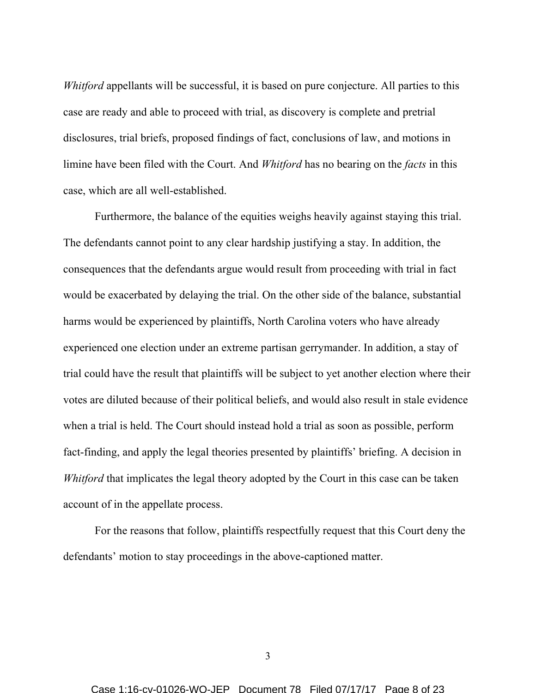*Whitford* appellants will be successful, it is based on pure conjecture. All parties to this case are ready and able to proceed with trial, as discovery is complete and pretrial disclosures, trial briefs, proposed findings of fact, conclusions of law, and motions in limine have been filed with the Court. And *Whitford* has no bearing on the *facts* in this case, which are all well-established.

Furthermore, the balance of the equities weighs heavily against staying this trial. The defendants cannot point to any clear hardship justifying a stay. In addition, the consequences that the defendants argue would result from proceeding with trial in fact would be exacerbated by delaying the trial. On the other side of the balance, substantial harms would be experienced by plaintiffs, North Carolina voters who have already experienced one election under an extreme partisan gerrymander. In addition, a stay of trial could have the result that plaintiffs will be subject to yet another election where their votes are diluted because of their political beliefs, and would also result in stale evidence when a trial is held. The Court should instead hold a trial as soon as possible, perform fact-finding, and apply the legal theories presented by plaintiffs' briefing. A decision in *Whitford* that implicates the legal theory adopted by the Court in this case can be taken account of in the appellate process.

For the reasons that follow, plaintiffs respectfully request that this Court deny the defendants' motion to stay proceedings in the above-captioned matter.

3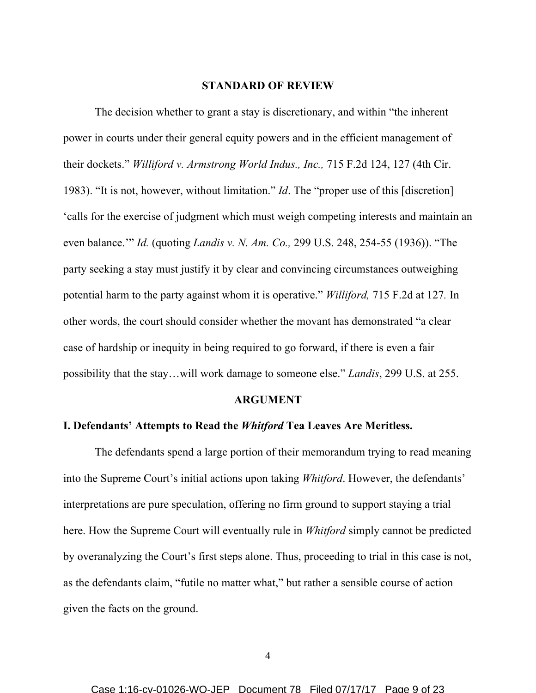#### **STANDARD OF REVIEW**

The decision whether to grant a stay is discretionary, and within "the inherent power in courts under their general equity powers and in the efficient management of their dockets." *Williford v. Armstrong World Indus., Inc.,* 715 F.2d 124, 127 (4th Cir. 1983). "It is not, however, without limitation." *Id*. The "proper use of this [discretion] 'calls for the exercise of judgment which must weigh competing interests and maintain an even balance.'" *Id.* (quoting *Landis v. N. Am. Co.,* 299 U.S. 248, 254-55 (1936)). "The party seeking a stay must justify it by clear and convincing circumstances outweighing potential harm to the party against whom it is operative." *Williford,* 715 F.2d at 127*.* In other words, the court should consider whether the movant has demonstrated "a clear case of hardship or inequity in being required to go forward, if there is even a fair possibility that the stay…will work damage to someone else." *Landis*, 299 U.S. at 255.

#### **ARGUMENT**

### **I. Defendants' Attempts to Read the** *Whitford* **Tea Leaves Are Meritless.**

The defendants spend a large portion of their memorandum trying to read meaning into the Supreme Court's initial actions upon taking *Whitford*. However, the defendants' interpretations are pure speculation, offering no firm ground to support staying a trial here. How the Supreme Court will eventually rule in *Whitford* simply cannot be predicted by overanalyzing the Court's first steps alone. Thus, proceeding to trial in this case is not, as the defendants claim, "futile no matter what," but rather a sensible course of action given the facts on the ground.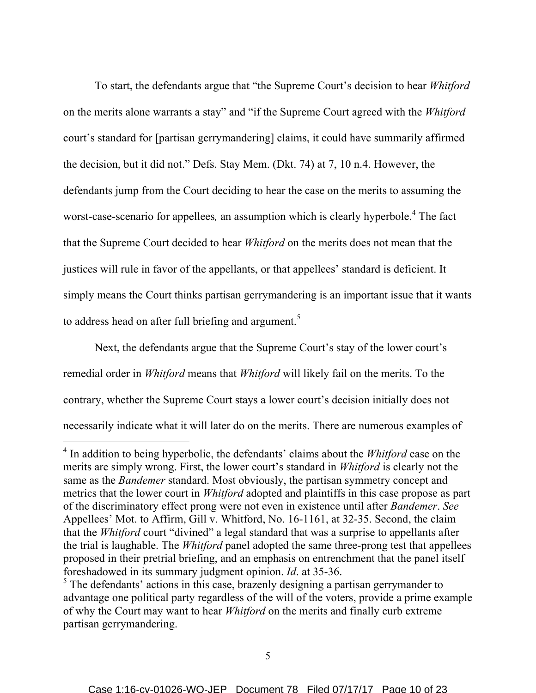To start, the defendants argue that "the Supreme Court's decision to hear *Whitford* on the merits alone warrants a stay" and "if the Supreme Court agreed with the *Whitford* court's standard for [partisan gerrymandering] claims, it could have summarily affirmed the decision, but it did not." Defs. Stay Mem. (Dkt. 74) at 7, 10 n.4. However, the defendants jump from the Court deciding to hear the case on the merits to assuming the worst-case-scenario for appellees*,* an assumption which is clearly hyperbole. <sup>4</sup> The fact that the Supreme Court decided to hear *Whitford* on the merits does not mean that the justices will rule in favor of the appellants, or that appellees' standard is deficient. It simply means the Court thinks partisan gerrymandering is an important issue that it wants to address head on after full briefing and argument.<sup>5</sup>

Next, the defendants argue that the Supreme Court's stay of the lower court's remedial order in *Whitford* means that *Whitford* will likely fail on the merits. To the contrary, whether the Supreme Court stays a lower court's decision initially does not necessarily indicate what it will later do on the merits. There are numerous examples of

 <sup>4</sup> In addition to being hyperbolic, the defendants' claims about the *Whitford* case on the merits are simply wrong. First, the lower court's standard in *Whitford* is clearly not the same as the *Bandemer* standard. Most obviously, the partisan symmetry concept and metrics that the lower court in *Whitford* adopted and plaintiffs in this case propose as part of the discriminatory effect prong were not even in existence until after *Bandemer*. *See*  Appellees' Mot. to Affirm, Gill v. Whitford, No. 16-1161, at 32-35. Second, the claim that the *Whitford* court "divined" a legal standard that was a surprise to appellants after the trial is laughable. The *Whitford* panel adopted the same three-prong test that appellees proposed in their pretrial briefing, and an emphasis on entrenchment that the panel itself foreshadowed in its summary judgment opinion. *Id*. at 35-36.

<sup>&</sup>lt;sup>5</sup> The defendants' actions in this case, brazenly designing a partisan gerrymander to advantage one political party regardless of the will of the voters, provide a prime example of why the Court may want to hear *Whitford* on the merits and finally curb extreme partisan gerrymandering.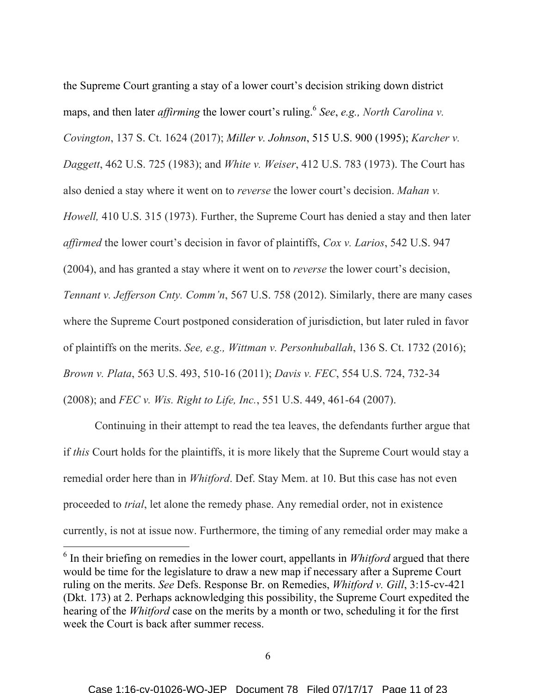the Supreme Court granting a stay of a lower court's decision striking down district maps, and then later *affirming* the lower court's ruling.<sup>6</sup> *See*, *e.g., North Carolina v. Covington*, 137 S. Ct. 1624 (2017); *Miller v. Johnson*, 515 U.S. 900 (1995); *Karcher v. Daggett*, 462 U.S. 725 (1983); and *White v. Weiser*, 412 U.S. 783 (1973). The Court has also denied a stay where it went on to *reverse* the lower court's decision. *Mahan v. Howell,* 410 U.S. 315 (1973). Further, the Supreme Court has denied a stay and then later *affirmed* the lower court's decision in favor of plaintiffs, *Cox v. Larios*, 542 U.S. 947 (2004), and has granted a stay where it went on to *reverse* the lower court's decision, *Tennant v. Jefferson Cnty. Comm'n*, 567 U.S. 758 (2012). Similarly, there are many cases where the Supreme Court postponed consideration of jurisdiction, but later ruled in favor of plaintiffs on the merits. *See, e.g., Wittman v. Personhuballah*, 136 S. Ct. 1732 (2016); *Brown v. Plata*, 563 U.S. 493, 510-16 (2011); *Davis v. FEC*, 554 U.S. 724, 732-34 (2008); and *FEC v. Wis. Right to Life, Inc.*, 551 U.S. 449, 461-64 (2007).

Continuing in their attempt to read the tea leaves, the defendants further argue that if *this* Court holds for the plaintiffs, it is more likely that the Supreme Court would stay a remedial order here than in *Whitford*. Def. Stay Mem. at 10. But this case has not even proceeded to *trial*, let alone the remedy phase. Any remedial order, not in existence currently, is not at issue now. Furthermore, the timing of any remedial order may make a

 <sup>6</sup> In their briefing on remedies in the lower court, appellants in *Whitford* argued that there would be time for the legislature to draw a new map if necessary after a Supreme Court ruling on the merits. *See* Defs. Response Br. on Remedies, *Whitford v. Gill*, 3:15-cv-421 (Dkt. 173) at 2. Perhaps acknowledging this possibility, the Supreme Court expedited the hearing of the *Whitford* case on the merits by a month or two, scheduling it for the first week the Court is back after summer recess.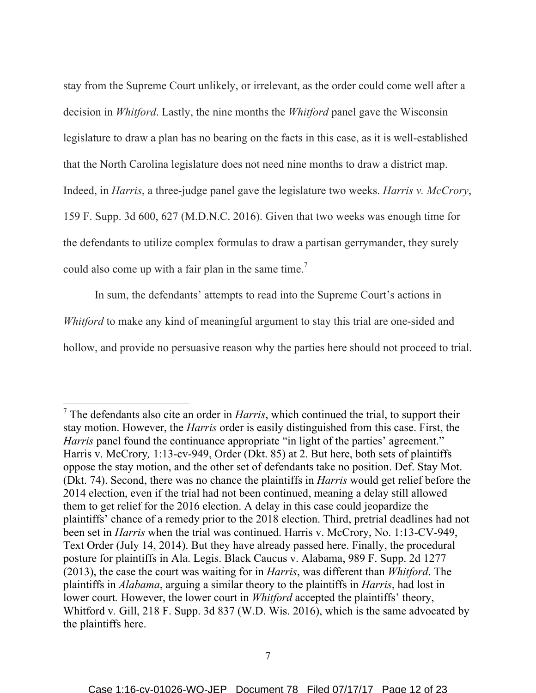stay from the Supreme Court unlikely, or irrelevant, as the order could come well after a decision in *Whitford*. Lastly, the nine months the *Whitford* panel gave the Wisconsin legislature to draw a plan has no bearing on the facts in this case, as it is well-established that the North Carolina legislature does not need nine months to draw a district map. Indeed, in *Harris*, a three-judge panel gave the legislature two weeks. *Harris v. McCrory*, 159 F. Supp. 3d 600, 627 (M.D.N.C. 2016). Given that two weeks was enough time for the defendants to utilize complex formulas to draw a partisan gerrymander, they surely could also come up with a fair plan in the same time.<sup>7</sup>

In sum, the defendants' attempts to read into the Supreme Court's actions in *Whitford* to make any kind of meaningful argument to stay this trial are one-sided and hollow, and provide no persuasive reason why the parties here should not proceed to trial.

 <sup>7</sup> The defendants also cite an order in *Harris*, which continued the trial, to support their stay motion. However, the *Harris* order is easily distinguished from this case. First, the *Harris* panel found the continuance appropriate "in light of the parties' agreement." Harris v. McCrory*,* 1:13-cv-949, Order (Dkt. 85) at 2. But here, both sets of plaintiffs oppose the stay motion, and the other set of defendants take no position. Def. Stay Mot. (Dkt. 74). Second, there was no chance the plaintiffs in *Harris* would get relief before the 2014 election, even if the trial had not been continued, meaning a delay still allowed them to get relief for the 2016 election. A delay in this case could jeopardize the plaintiffs' chance of a remedy prior to the 2018 election. Third, pretrial deadlines had not been set in *Harris* when the trial was continued. Harris v. McCrory, No. 1:13-CV-949, Text Order (July 14, 2014). But they have already passed here. Finally, the procedural posture for plaintiffs in Ala. Legis. Black Caucus v. Alabama, 989 F. Supp. 2d 1277 (2013), the case the court was waiting for in *Harris*, was different than *Whitford*. The plaintiffs in *Alabama*, arguing a similar theory to the plaintiffs in *Harris*, had lost in lower court. However, the lower court in *Whitford* accepted the plaintiffs' theory, Whitford v. Gill, 218 F. Supp. 3d 837 (W.D. Wis. 2016), which is the same advocated by the plaintiffs here.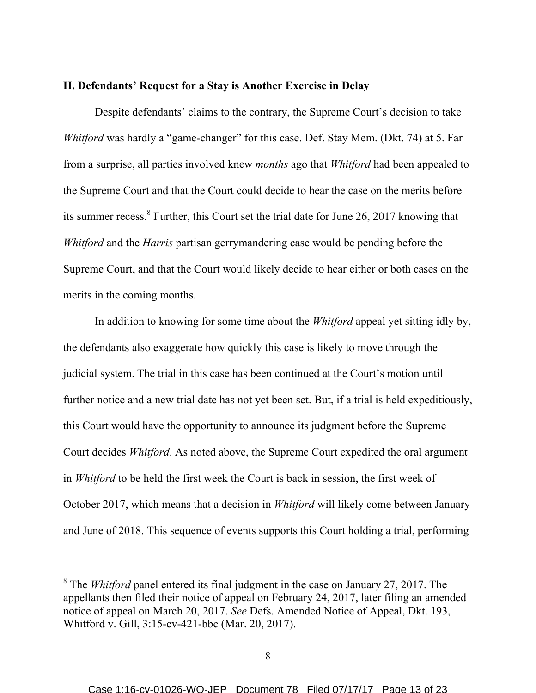### **II. Defendants' Request for a Stay is Another Exercise in Delay**

Despite defendants' claims to the contrary, the Supreme Court's decision to take *Whitford* was hardly a "game-changer" for this case. Def. Stay Mem. (Dkt. 74) at 5. Far from a surprise, all parties involved knew *months* ago that *Whitford* had been appealed to the Supreme Court and that the Court could decide to hear the case on the merits before its summer recess.<sup>8</sup> Further, this Court set the trial date for June 26, 2017 knowing that *Whitford* and the *Harris* partisan gerrymandering case would be pending before the Supreme Court, and that the Court would likely decide to hear either or both cases on the merits in the coming months.

In addition to knowing for some time about the *Whitford* appeal yet sitting idly by, the defendants also exaggerate how quickly this case is likely to move through the judicial system. The trial in this case has been continued at the Court's motion until further notice and a new trial date has not yet been set. But, if a trial is held expeditiously, this Court would have the opportunity to announce its judgment before the Supreme Court decides *Whitford*. As noted above, the Supreme Court expedited the oral argument in *Whitford* to be held the first week the Court is back in session, the first week of October 2017, which means that a decision in *Whitford* will likely come between January and June of 2018. This sequence of events supports this Court holding a trial, performing

 <sup>8</sup> The *Whitford* panel entered its final judgment in the case on January 27, 2017. The appellants then filed their notice of appeal on February 24, 2017, later filing an amended notice of appeal on March 20, 2017. *See* Defs. Amended Notice of Appeal, Dkt. 193, Whitford v. Gill, 3:15-cv-421-bbc (Mar. 20, 2017).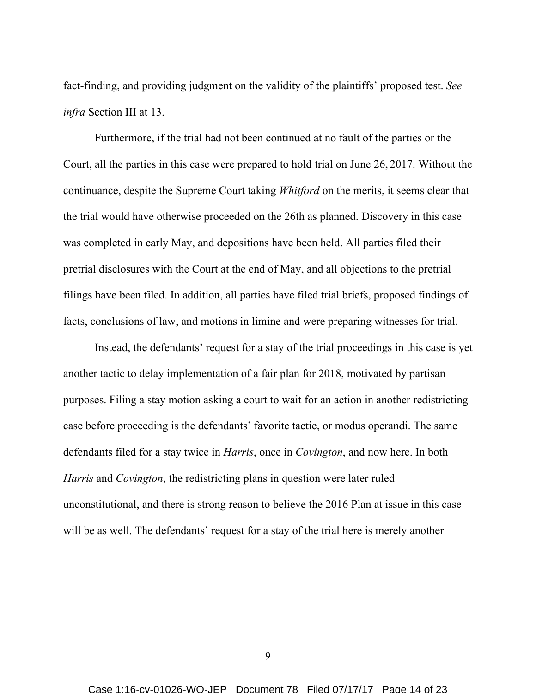fact-finding, and providing judgment on the validity of the plaintiffs' proposed test. *See infra* Section III at 13.

Furthermore, if the trial had not been continued at no fault of the parties or the Court, all the parties in this case were prepared to hold trial on June 26, 2017. Without the continuance, despite the Supreme Court taking *Whitford* on the merits, it seems clear that the trial would have otherwise proceeded on the 26th as planned. Discovery in this case was completed in early May, and depositions have been held. All parties filed their pretrial disclosures with the Court at the end of May, and all objections to the pretrial filings have been filed. In addition, all parties have filed trial briefs, proposed findings of facts, conclusions of law, and motions in limine and were preparing witnesses for trial.

Instead, the defendants' request for a stay of the trial proceedings in this case is yet another tactic to delay implementation of a fair plan for 2018, motivated by partisan purposes. Filing a stay motion asking a court to wait for an action in another redistricting case before proceeding is the defendants' favorite tactic, or modus operandi. The same defendants filed for a stay twice in *Harris*, once in *Covington*, and now here. In both *Harris* and *Covington*, the redistricting plans in question were later ruled unconstitutional, and there is strong reason to believe the 2016 Plan at issue in this case will be as well. The defendants' request for a stay of the trial here is merely another

9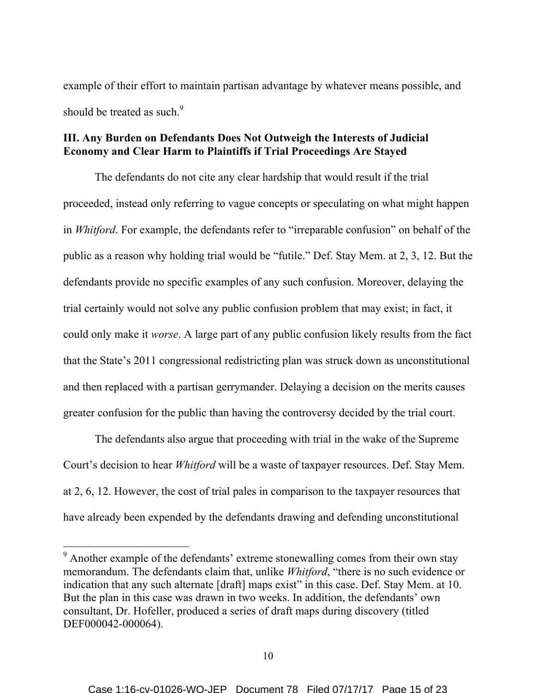example of their effort to maintain partisan advantage by whatever means possible, and should be treated as such.<sup>9</sup>

# **III. Any Burden on Defendants Does Not Outweigh the Interests of Judicial Economy and Clear Harm to Plaintiffs if Trial Proceedings Are Stayed**

The defendants do not cite any clear hardship that would result if the trial proceeded, instead only referring to vague concepts or speculating on what might happen in *Whitford*. For example, the defendants refer to "irreparable confusion" on behalf of the public as a reason why holding trial would be "futile." Def. Stay Mem. at 2, 3, 12. But the defendants provide no specific examples of any such confusion. Moreover, delaying the trial certainly would not solve any public confusion problem that may exist; in fact, it could only make it *worse*. A large part of any public confusion likely results from the fact that the State's 2011 congressional redistricting plan was struck down as unconstitutional and then replaced with a partisan gerrymander. Delaying a decision on the merits causes greater confusion for the public than having the controversy decided by the trial court.

The defendants also argue that proceeding with trial in the wake of the Supreme Court's decision to hear *Whitford* will be a waste of taxpayer resources. Def. Stay Mem. at 2, 6, 12. However, the cost of trial pales in comparison to the taxpayer resources that have already been expended by the defendants drawing and defending unconstitutional

<sup>&</sup>lt;sup>9</sup> Another example of the defendants' extreme stonewalling comes from their own stay memorandum. The defendants claim that, unlike *Whitford*, "there is no such evidence or indication that any such alternate [draft] maps exist" in this case. Def. Stay Mem. at 10. But the plan in this case was drawn in two weeks. In addition, the defendants' own consultant, Dr. Hofeller, produced a series of draft maps during discovery (titled DEF000042-000064).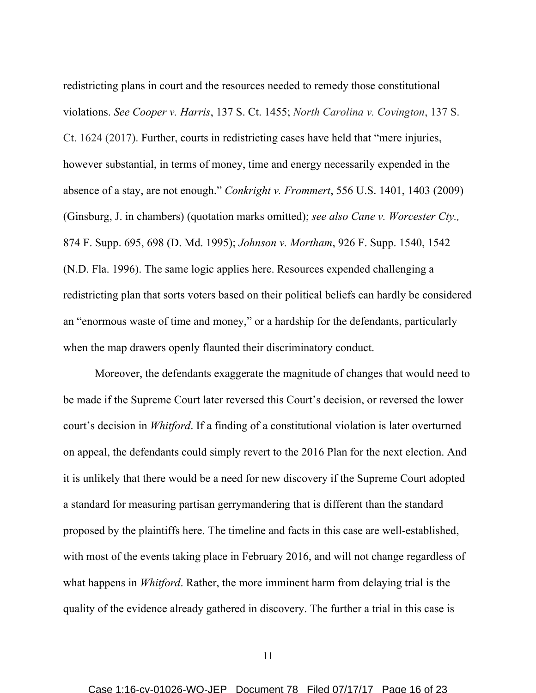redistricting plans in court and the resources needed to remedy those constitutional violations. *See Cooper v. Harris*, 137 S. Ct. 1455; *North Carolina v. Covington*, 137 S. Ct. 1624 (2017). Further, courts in redistricting cases have held that "mere injuries, however substantial, in terms of money, time and energy necessarily expended in the absence of a stay, are not enough." *Conkright v. Frommert*, 556 U.S. 1401, 1403 (2009) (Ginsburg, J. in chambers) (quotation marks omitted); *see also Cane v. Worcester Cty.,* 874 F. Supp. 695, 698 (D. Md. 1995); *Johnson v. Mortham*, 926 F. Supp. 1540, 1542 (N.D. Fla. 1996). The same logic applies here. Resources expended challenging a redistricting plan that sorts voters based on their political beliefs can hardly be considered an "enormous waste of time and money," or a hardship for the defendants, particularly when the map drawers openly flaunted their discriminatory conduct.

Moreover, the defendants exaggerate the magnitude of changes that would need to be made if the Supreme Court later reversed this Court's decision, or reversed the lower court's decision in *Whitford*. If a finding of a constitutional violation is later overturned on appeal, the defendants could simply revert to the 2016 Plan for the next election. And it is unlikely that there would be a need for new discovery if the Supreme Court adopted a standard for measuring partisan gerrymandering that is different than the standard proposed by the plaintiffs here. The timeline and facts in this case are well-established, with most of the events taking place in February 2016, and will not change regardless of what happens in *Whitford*. Rather, the more imminent harm from delaying trial is the quality of the evidence already gathered in discovery. The further a trial in this case is

11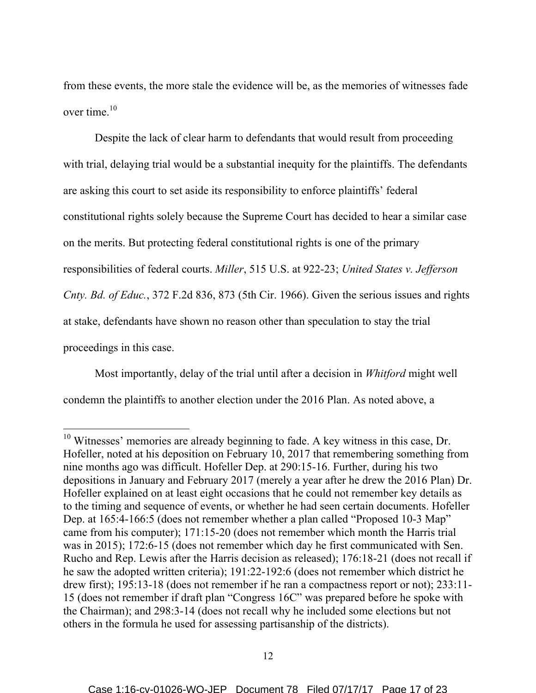from these events, the more stale the evidence will be, as the memories of witnesses fade over time. 10

Despite the lack of clear harm to defendants that would result from proceeding with trial, delaying trial would be a substantial inequity for the plaintiffs. The defendants are asking this court to set aside its responsibility to enforce plaintiffs' federal constitutional rights solely because the Supreme Court has decided to hear a similar case on the merits. But protecting federal constitutional rights is one of the primary responsibilities of federal courts. *Miller*, 515 U.S. at 922-23; *United States v. Jefferson Cnty. Bd. of Educ.*, 372 F.2d 836, 873 (5th Cir. 1966). Given the serious issues and rights at stake, defendants have shown no reason other than speculation to stay the trial proceedings in this case.

Most importantly, delay of the trial until after a decision in *Whitford* might well condemn the plaintiffs to another election under the 2016 Plan. As noted above, a

<sup>&</sup>lt;sup>10</sup> Witnesses' memories are already beginning to fade. A key witness in this case, Dr. Hofeller, noted at his deposition on February 10, 2017 that remembering something from nine months ago was difficult. Hofeller Dep. at 290:15-16. Further, during his two depositions in January and February 2017 (merely a year after he drew the 2016 Plan) Dr. Hofeller explained on at least eight occasions that he could not remember key details as to the timing and sequence of events, or whether he had seen certain documents. Hofeller Dep. at 165:4-166:5 (does not remember whether a plan called "Proposed 10-3 Map" came from his computer); 171:15-20 (does not remember which month the Harris trial was in 2015); 172:6-15 (does not remember which day he first communicated with Sen. Rucho and Rep. Lewis after the Harris decision as released); 176:18-21 (does not recall if he saw the adopted written criteria); 191:22-192:6 (does not remember which district he drew first); 195:13-18 (does not remember if he ran a compactness report or not); 233:11-15 (does not remember if draft plan "Congress 16C" was prepared before he spoke with the Chairman); and 298:3-14 (does not recall why he included some elections but not others in the formula he used for assessing partisanship of the districts).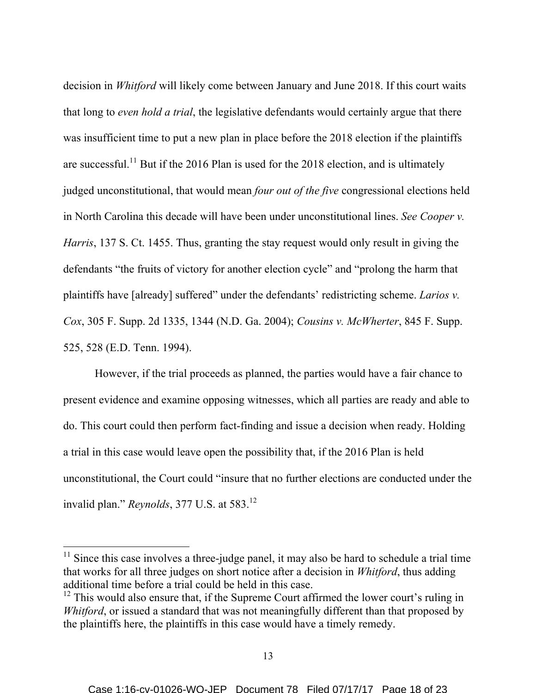decision in *Whitford* will likely come between January and June 2018. If this court waits that long to *even hold a trial*, the legislative defendants would certainly argue that there was insufficient time to put a new plan in place before the 2018 election if the plaintiffs are successful.<sup>11</sup> But if the 2016 Plan is used for the 2018 election, and is ultimately judged unconstitutional, that would mean *four out of the five* congressional elections held in North Carolina this decade will have been under unconstitutional lines. *See Cooper v. Harris*, 137 S. Ct. 1455. Thus, granting the stay request would only result in giving the defendants "the fruits of victory for another election cycle" and "prolong the harm that plaintiffs have [already] suffered" under the defendants' redistricting scheme. *Larios v. Cox*, 305 F. Supp. 2d 1335, 1344 (N.D. Ga. 2004); *Cousins v. McWherter*, 845 F. Supp. 525, 528 (E.D. Tenn. 1994).

However, if the trial proceeds as planned, the parties would have a fair chance to present evidence and examine opposing witnesses, which all parties are ready and able to do. This court could then perform fact-finding and issue a decision when ready. Holding a trial in this case would leave open the possibility that, if the 2016 Plan is held unconstitutional, the Court could "insure that no further elections are conducted under the invalid plan." *Reynolds*, 377 U.S. at 583.<sup>12</sup>

 $11$  Since this case involves a three-judge panel, it may also be hard to schedule a trial time that works for all three judges on short notice after a decision in *Whitford*, thus adding additional time before a trial could be held in this case.

 $12$  This would also ensure that, if the Supreme Court affirmed the lower court's ruling in *Whitford*, or issued a standard that was not meaningfully different than that proposed by the plaintiffs here, the plaintiffs in this case would have a timely remedy.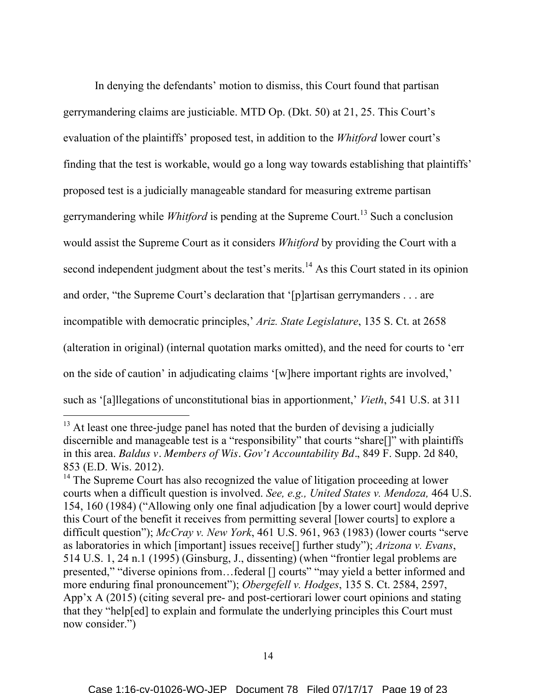In denying the defendants' motion to dismiss, this Court found that partisan gerrymandering claims are justiciable. MTD Op. (Dkt. 50) at 21, 25. This Court's evaluation of the plaintiffs' proposed test, in addition to the *Whitford* lower court's finding that the test is workable, would go a long way towards establishing that plaintiffs' proposed test is a judicially manageable standard for measuring extreme partisan gerrymandering while *Whitford* is pending at the Supreme Court. <sup>13</sup> Such a conclusion would assist the Supreme Court as it considers *Whitford* by providing the Court with a second independent judgment about the test's merits.<sup>14</sup> As this Court stated in its opinion and order, "the Supreme Court's declaration that '[p]artisan gerrymanders . . . are incompatible with democratic principles,' *Ariz. State Legislature*, 135 S. Ct. at 2658 (alteration in original) (internal quotation marks omitted), and the need for courts to 'err on the side of caution' in adjudicating claims '[w]here important rights are involved,' such as '[a]llegations of unconstitutional bias in apportionment,' *Vieth*, 541 U.S. at 311

<sup>&</sup>lt;sup>13</sup> At least one three-judge panel has noted that the burden of devising a judicially discernible and manageable test is a "responsibility" that courts "share[]" with plaintiffs in this area. *Baldus v. Members of Wis. Gov't Accountability Bd.*, 849 F. Supp. 2d 840, 853 (E.D. Wis. 2012).

<sup>&</sup>lt;sup>14</sup> The Supreme Court has also recognized the value of litigation proceeding at lower courts when a difficult question is involved. *See, e.g., United States v. Mendoza,* 464 U.S. 154, 160 (1984) ("Allowing only one final adjudication [by a lower court] would deprive this Court of the benefit it receives from permitting several [lower courts] to explore a difficult question"); *McCray v. New York*, 461 U.S. 961, 963 (1983) (lower courts "serve as laboratories in which [important] issues receive[] further study"); *Arizona v. Evans*, 514 U.S. 1, 24 n.1 (1995) (Ginsburg, J., dissenting) (when "frontier legal problems are presented," "diverse opinions from…federal [] courts" "may yield a better informed and more enduring final pronouncement"); *Obergefell v. Hodges*, 135 S. Ct. 2584, 2597, App'x A (2015) (citing several pre- and post-certiorari lower court opinions and stating that they "help[ed] to explain and formulate the underlying principles this Court must now consider.")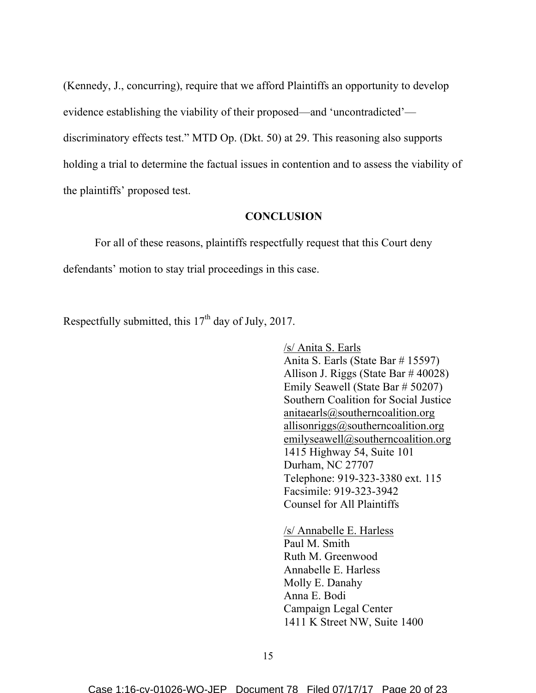(Kennedy, J., concurring), require that we afford Plaintiffs an opportunity to develop evidence establishing the viability of their proposed—and 'uncontradicted' discriminatory effects test." MTD Op. (Dkt. 50) at 29. This reasoning also supports holding a trial to determine the factual issues in contention and to assess the viability of the plaintiffs' proposed test.

### **CONCLUSION**

For all of these reasons, plaintiffs respectfully request that this Court deny defendants' motion to stay trial proceedings in this case.

Respectfully submitted, this  $17<sup>th</sup>$  day of July, 2017.

/s/ Anita S. Earls Anita S. Earls (State Bar # 15597) Allison J. Riggs (State Bar # 40028) Emily Seawell (State Bar # 50207) Southern Coalition for Social Justice anitaearls@southerncoalition.org allisonriggs@southerncoalition.org emilyseawell@southerncoalition.org 1415 Highway 54, Suite 101 Durham, NC 27707 Telephone: 919-323-3380 ext. 115 Facsimile: 919-323-3942 Counsel for All Plaintiffs

/s/ Annabelle E. Harless Paul M. Smith Ruth M. Greenwood Annabelle E. Harless Molly E. Danahy Anna E. Bodi Campaign Legal Center 1411 K Street NW, Suite 1400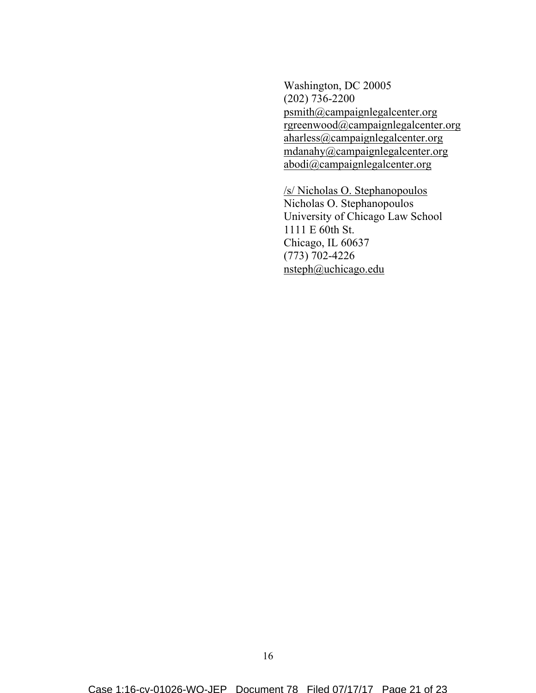Washington, DC 20005 (202) 736-2200 psmith@campaignlegalcenter.org rgreenwood@campaignlegalcenter.org aharless@campaignlegalcenter.org mdanahy@campaignlegalcenter.org abodi@campaignlegalcenter.org

/s/ Nicholas O. Stephanopoulos Nicholas O. Stephanopoulos University of Chicago Law School 1111 E 60th St. Chicago, IL 60637 (773) 702-4226 nsteph@uchicago.edu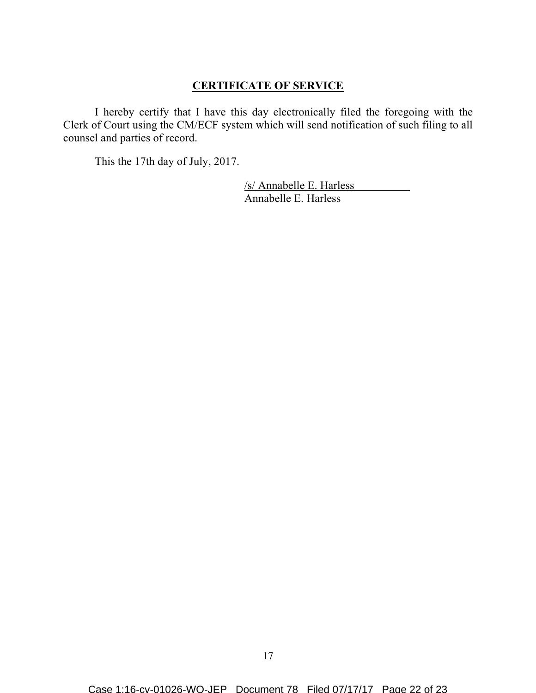# **CERTIFICATE OF SERVICE**

I hereby certify that I have this day electronically filed the foregoing with the Clerk of Court using the CM/ECF system which will send notification of such filing to all counsel and parties of record.

This the 17th day of July, 2017.

/s/ Annabelle E. Harless Annabelle E. Harless